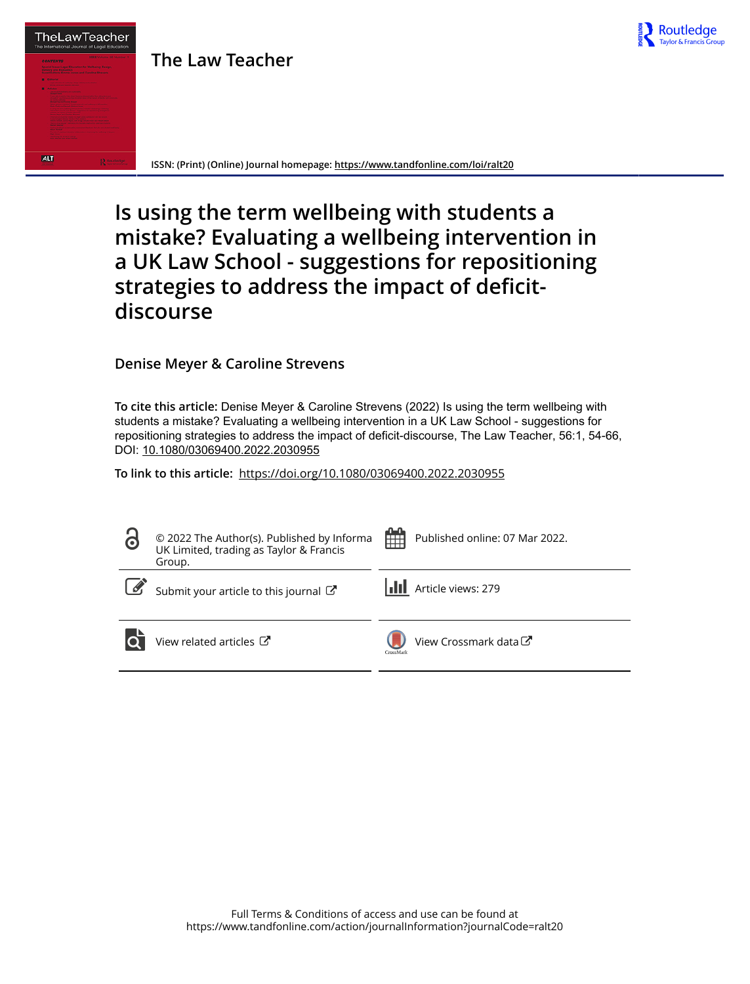

**The Law Teacher**



# **Is using the term wellbeing with students a mistake? Evaluating a wellbeing intervention in a UK Law School - suggestions for repositioning strategies to address the impact of deficitdiscourse**

Routledge

**Denise Meyer & Caroline Strevens**

**To cite this article:** Denise Meyer & Caroline Strevens (2022) Is using the term wellbeing with students a mistake? Evaluating a wellbeing intervention in a UK Law School - suggestions for repositioning strategies to address the impact of deficit-discourse, The Law Teacher, 56:1, 54-66, DOI: [10.1080/03069400.2022.2030955](https://www.tandfonline.com/action/showCitFormats?doi=10.1080/03069400.2022.2030955)

**To link to this article:** <https://doi.org/10.1080/03069400.2022.2030955>

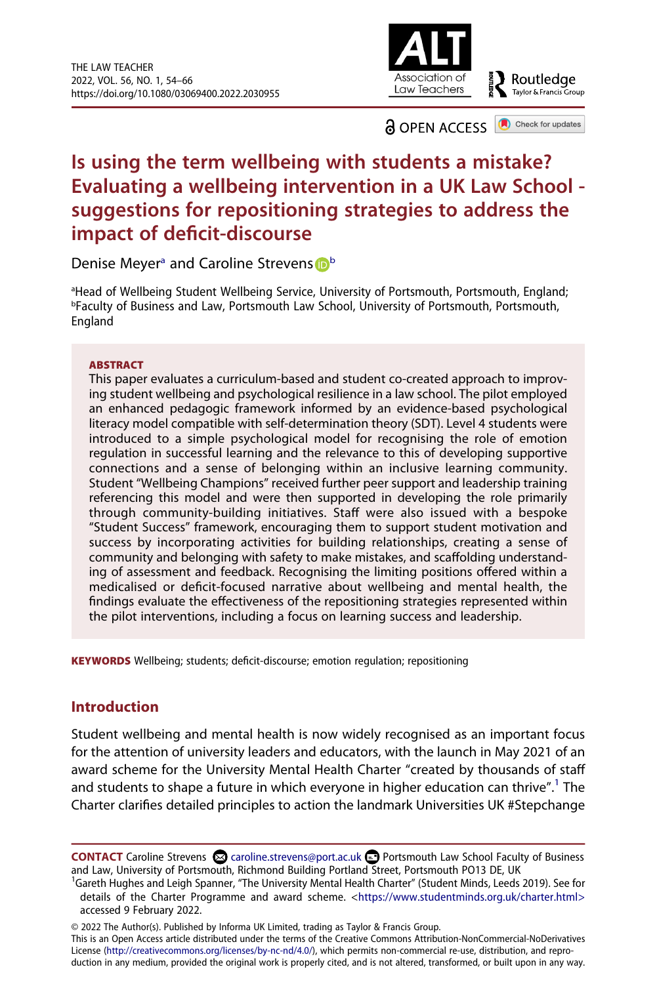

a OPEN ACCESS Check for updates

# **Is using the term wellbeing with students a mistake? Evaluating a wellbeing intervention in a UK Law School suggestions for repositioning strategies to address the impact of deficit-discourse**

Deni[s](http://orcid.org/0000-0001-9016-839X)e Meyer<sup>a</sup> and Caroline Strevens **D**<sup>[b](#page-1-1)</sup>

<span id="page-1-1"></span><span id="page-1-0"></span><sup>a</sup>Head of Wellbeing Student Wellbeing Service, University of Portsmouth, Portsmouth, England;<br>PEaculty of Business and Law, Portsmouth Law School, University of Portsmouth, Portsmouth **PFaculty of Business and Law, Portsmouth Law School, University of Portsmouth, Portsmouth,** England

#### **ABSTRACT**

This paper evaluates a curriculum-based and student co-created approach to improving student wellbeing and psychological resilience in a law school. The pilot employed an enhanced pedagogic framework informed by an evidence-based psychological literacy model compatible with self-determination theory (SDT). Level 4 students were introduced to a simple psychological model for recognising the role of emotion regulation in successful learning and the relevance to this of developing supportive connections and a sense of belonging within an inclusive learning community. Student "Wellbeing Champions" received further peer support and leadership training referencing this model and were then supported in developing the role primarily through community-building initiatives. Staff were also issued with a bespoke "Student Success" framework, encouraging them to support student motivation and success by incorporating activities for building relationships, creating a sense of community and belonging with safety to make mistakes, and scaffolding understanding of assessment and feedback. Recognising the limiting positions offered within a medicalised or deficit-focused narrative about wellbeing and mental health, the findings evaluate the effectiveness of the repositioning strategies represented within the pilot interventions, including a focus on learning success and leadership.

**KEYWORDS** Wellbeing; students; deficit-discourse; emotion regulation; repositioning

# **Introduction**

Student wellbeing and mental health is now widely recognised as an important focus for the attention of university leaders and educators, with the launch in May 2021 of an award scheme for the University Mental Health Charter "created by thousands of staff and students to shape a future in which everyone in higher education can thrive".<sup>1</sup> The Charter clarifies detailed principles to action the landmark Universities UK #Stepchange

© 2022 The Author(s). Published by Informa UK Limited, trading as Taylor & Francis Group.

This is an Open Access article distributed under the terms of the Creative Commons Attribution-NonCommercial-NoDerivatives License (http://creativecommons.org/licenses/by-nc-nd/4.0/), which permits non-commercial re-use, distribution, and reproduction in any medium, provided the original work is properly cited, and is not altered, transformed, or built upon in any way.

**CONTACT** Caroline Strevens and Caroline.strevens@port.ac.uk **□** Portsmouth Law School Faculty of Business and Law, University of Portsmouth, Richmond Building Portland Street, Portsmouth PO13 DE, UK <sup>1</sup>

<span id="page-1-2"></span><sup>&</sup>lt;sup>1</sup>Gareth Hughes and Leigh Spanner, "The University Mental Health Charter" (Student Minds, Leeds 2019). See for details of the Charter Programme and award scheme. [<https://www.studentminds.org.uk/charter.html>](https://www.studentminds.org.uk/charter.html%3E) accessed 9 February 2022.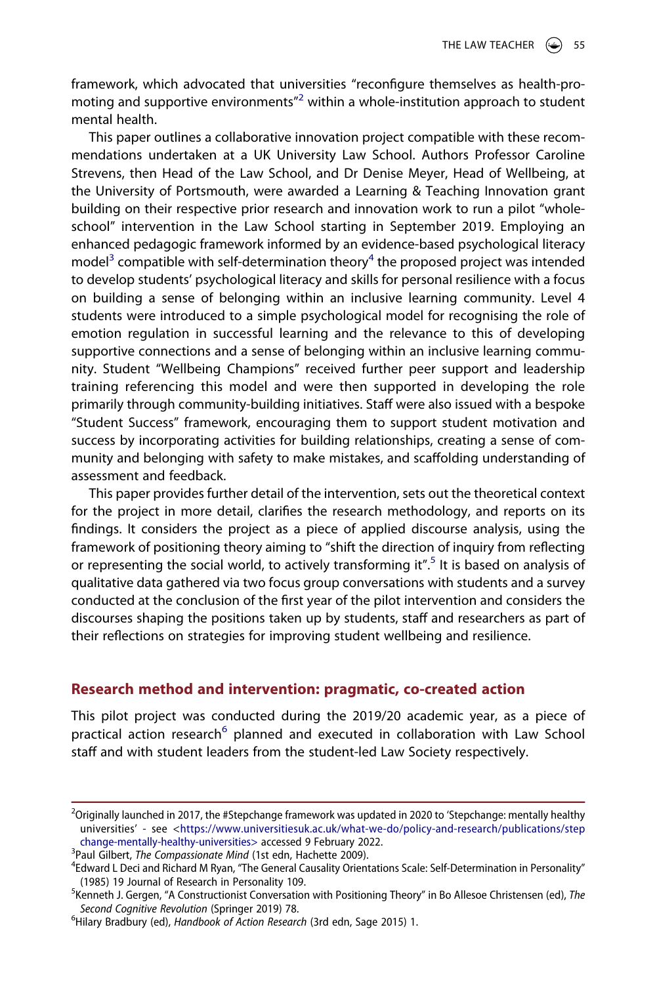framework, which advocated that universities "reconfigure themselves as health-promoting and supportive environments $n^2$  within a whole-institution approach to student mental health.

This paper outlines a collaborative innovation project compatible with these recommendations undertaken at a UK University Law School. Authors Professor Caroline Strevens, then Head of the Law School, and Dr Denise Meyer, Head of Wellbeing, at the University of Portsmouth, were awarded a Learning & Teaching Innovation grant building on their respective prior research and innovation work to run a pilot "wholeschool" intervention in the Law School starting in September 2019. Employing an enhanced pedagogic framework informed by an evidence-based psychological literacy model<sup>3</sup> compatible with self-determination theory<sup>4</sup> the proposed project was intended to develop students' psychological literacy and skills for personal resilience with a focus on building a sense of belonging within an inclusive learning community. Level 4 students were introduced to a simple psychological model for recognising the role of emotion regulation in successful learning and the relevance to this of developing supportive connections and a sense of belonging within an inclusive learning community. Student "Wellbeing Champions" received further peer support and leadership training referencing this model and were then supported in developing the role primarily through community-building initiatives. Staff were also issued with a bespoke "Student Success" framework, encouraging them to support student motivation and success by incorporating activities for building relationships, creating a sense of community and belonging with safety to make mistakes, and scaffolding understanding of assessment and feedback.

This paper provides further detail of the intervention, sets out the theoretical context for the project in more detail, clarifies the research methodology, and reports on its findings. It considers the project as a piece of applied discourse analysis, using the framework of positioning theory aiming to "shift the direction of inquiry from reflecting or representing the social world, to actively transforming it".<sup>5</sup> It is based on analysis of qualitative data gathered via two focus group conversations with students and a survey conducted at the conclusion of the first year of the pilot intervention and considers the discourses shaping the positions taken up by students, staff and researchers as part of their reflections on strategies for improving student wellbeing and resilience.

#### **Research method and intervention: pragmatic, co-created action**

This pilot project was conducted during the 2019/20 academic year, as a piece of practical action research<sup>[6](#page-2-4)</sup> planned and executed in collaboration with Law School staff and with student leaders from the student-led Law Society respectively.

<span id="page-2-0"></span><sup>&</sup>lt;sup>2</sup>Originally launched in 2017, the #Stepchange framework was updated in 2020 to 'Stepchange: mentally healthy universities' - see [<https://www.universitiesuk.ac.uk/what-we-do/policy-and-research/publications/step](https://www.universitiesuk.ac.uk/what-we-do/policy-and-research/publications/stepchange-mentally-healthy-universities%3E) [change-mentally-healthy-universities>](https://www.universitiesuk.ac.uk/what-we-do/policy-and-research/publications/stepchange-mentally-healthy-universities%3E) accessed 9 February 2022.

<span id="page-2-1"></span><sup>&</sup>lt;sup>3</sup>Paul Gilbert, *The Compassionate Mind* (1st edn, Hachette 2009).

<span id="page-2-2"></span>Edward L Deci and Richard M Ryan, "The General Causality Orientations Scale: Self-Determination in Personality"

<span id="page-2-3"></span><sup>(1985) 19</sup> Journal of Research in Personality 109. <sup>5</sup> Kenneth J. Gergen, "A Constructionist Conversation with Positioning Theory" in Bo Allesoe Christensen (ed), *The*  **Second Cognitive Revolution (Springer 2019) 78.** 

<span id="page-2-4"></span>Hilary Bradbury (ed), *Handbook of Action Research* (3rd edn, Sage 2015) 1.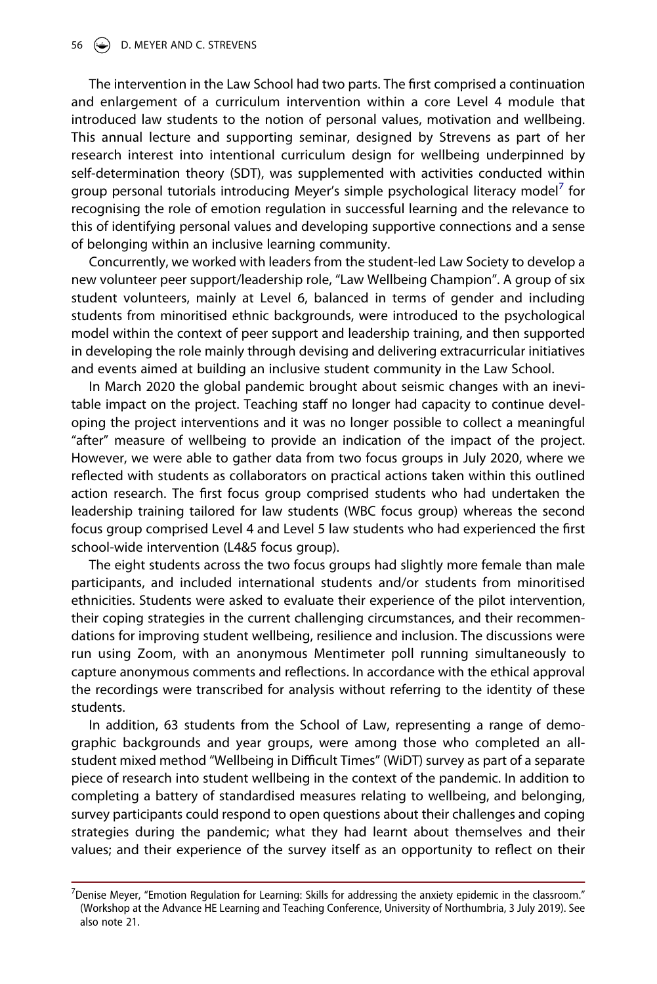The intervention in the Law School had two parts. The first comprised a continuation and enlargement of a curriculum intervention within a core Level 4 module that introduced law students to the notion of personal values, motivation and wellbeing. This annual lecture and supporting seminar, designed by Strevens as part of her research interest into intentional curriculum design for wellbeing underpinned by self-determination theory (SDT), was supplemented with activities conducted within group personal tutorials introducing Meyer's simple psychological literacy model<sup>7</sup> for recognising the role of emotion regulation in successful learning and the relevance to this of identifying personal values and developing supportive connections and a sense of belonging within an inclusive learning community.

Concurrently, we worked with leaders from the student-led Law Society to develop a new volunteer peer support/leadership role, "Law Wellbeing Champion". A group of six student volunteers, mainly at Level 6, balanced in terms of gender and including students from minoritised ethnic backgrounds, were introduced to the psychological model within the context of peer support and leadership training, and then supported in developing the role mainly through devising and delivering extracurricular initiatives and events aimed at building an inclusive student community in the Law School.

In March 2020 the global pandemic brought about seismic changes with an inevitable impact on the project. Teaching staff no longer had capacity to continue developing the project interventions and it was no longer possible to collect a meaningful "after" measure of wellbeing to provide an indication of the impact of the project. However, we were able to gather data from two focus groups in July 2020, where we reflected with students as collaborators on practical actions taken within this outlined action research. The first focus group comprised students who had undertaken the leadership training tailored for law students (WBC focus group) whereas the second focus group comprised Level 4 and Level 5 law students who had experienced the first school-wide intervention (L4&5 focus group).

The eight students across the two focus groups had slightly more female than male participants, and included international students and/or students from minoritised ethnicities. Students were asked to evaluate their experience of the pilot intervention, their coping strategies in the current challenging circumstances, and their recommendations for improving student wellbeing, resilience and inclusion. The discussions were run using Zoom, with an anonymous Mentimeter poll running simultaneously to capture anonymous comments and reflections. In accordance with the ethical approval the recordings were transcribed for analysis without referring to the identity of these students.

In addition, 63 students from the School of Law, representing a range of demographic backgrounds and year groups, were among those who completed an allstudent mixed method "Wellbeing in Difficult Times" (WiDT) survey as part of a separate piece of research into student wellbeing in the context of the pandemic. In addition to completing a battery of standardised measures relating to wellbeing, and belonging, survey participants could respond to open questions about their challenges and coping strategies during the pandemic; what they had learnt about themselves and their values; and their experience of the survey itself as an opportunity to reflect on their

<span id="page-3-0"></span> $^7$ Denise Meyer, "Emotion Regulation for Learning: Skills for addressing the anxiety epidemic in the classroom." (Workshop at the Advance HE Learning and Teaching Conference, University of Northumbria, 3 July 2019). See also note 21.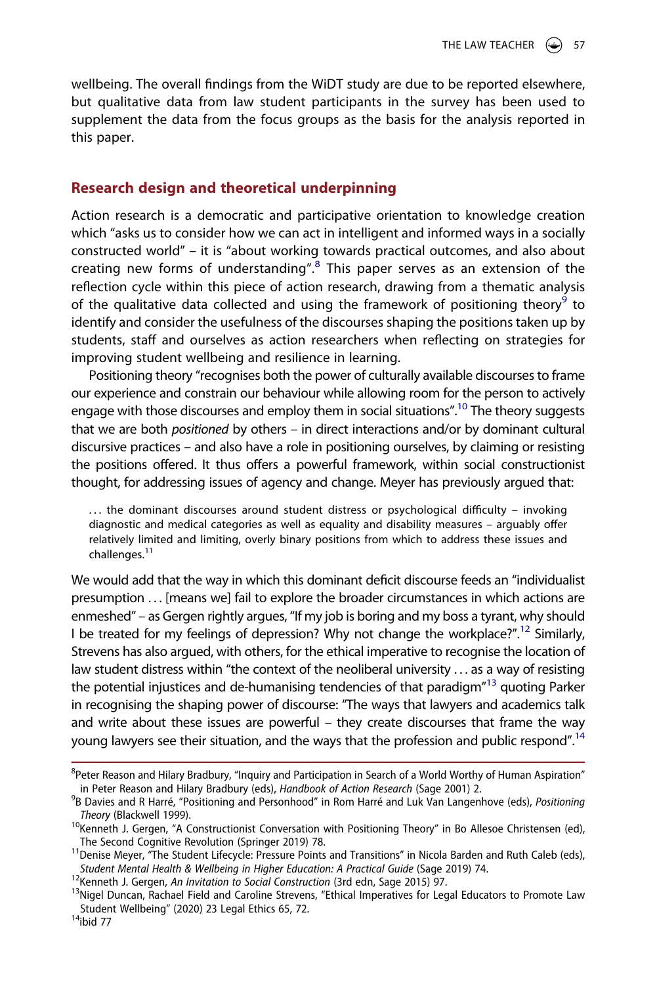wellbeing. The overall findings from the WiDT study are due to be reported elsewhere, but qualitative data from law student participants in the survey has been used to supplement the data from the focus groups as the basis for the analysis reported in this paper.

#### **Research design and theoretical underpinning**

Action research is a democratic and participative orientation to knowledge creation which "asks us to consider how we can act in intelligent and informed ways in a socially constructed world" – it is "about working towards practical outcomes, and also about creating new forms of understanding".<sup>8</sup> This paper serves as an extension of the reflection cycle within this piece of action research, drawing from a thematic analysis of the qualitative data collected and using the framework of positioning theory<sup>9</sup> to identify and consider the usefulness of the discourses shaping the positions taken up by students, staff and ourselves as action researchers when reflecting on strategies for improving student wellbeing and resilience in learning.

Positioning theory "recognises both the power of culturally available discourses to frame our experience and constrain our behaviour while allowing room for the person to actively engage with those discourses and employ them in social situations".<sup>10</sup> The theory suggests that we are both *positioned* by others – in direct interactions and/or by dominant cultural discursive practices – and also have a role in positioning ourselves, by claiming or resisting the positions offered. It thus offers a powerful framework, within social constructionist thought, for addressing issues of agency and change. Meyer has previously argued that:

 $\ldots$  the dominant discourses around student distress or psychological difficulty – invoking diagnostic and medical categories as well as equality and disability measures – arguably offer relatively limited and limiting, overly binary positions from which to address these issues and challenges.<sup>[11](#page-4-3)</sup>

We would add that the way in which this dominant deficit discourse feeds an "individualist presumption . . . [means we] fail to explore the broader circumstances in which actions are enmeshed" – as Gergen rightly argues, "If my job is boring and my boss a tyrant, why should I be treated for my feelings of depression? Why not change the workplace?".<sup>12</sup> Similarly, Strevens has also argued, with others, for the ethical imperative to recognise the location of law student distress within "the context of the neoliberal university ... as a way of resisting the potential injustices and de-humanising tendencies of that paradigm"[13](#page-4-5) quoting Parker in recognising the shaping power of discourse: "The ways that lawyers and academics talk and write about these issues are powerful – they create discourses that frame the way young lawyers see their situation, and the ways that the profession and public respond".<sup>14</sup>

<span id="page-4-0"></span><sup>&</sup>lt;sup>8</sup>Peter Reason and Hilary Bradbury, "Inquiry and Participation in Search of a World Worthy of Human Aspiration" in Peter Reason and Hilary Bradbury (eds), *Handbook of Action Research* (Sage 2001) 2. <sup>9</sup>

<span id="page-4-1"></span>B Davies and R Harré, "Positioning and Personhood" in Rom Harré and Luk Van Langenhove (eds), *Positioning* 

<span id="page-4-2"></span>*Theory (*Blackwell 1999).<br><sup>10</sup>Kenneth J. Gergen, "A Constructionist Conversation with Positioning Theory" in Bo Allesoe Christensen (ed),<br>The Second Cognitive Revolution (Springer 2019) 78.

<span id="page-4-3"></span><sup>&</sup>lt;sup>11</sup> Denise Meyer, "The Student Lifecycle: Pressure Points and Transitions" in Nicola Barden and Ruth Caleb (eds),<br>Student Mental Health & Wellbeing in Higher Education: A Practical Guide (Sage 2019) 74.

<span id="page-4-5"></span>

<span id="page-4-4"></span><sup>&</sup>lt;sup>12</sup>Kenneth J. Gergen, *An Invitation to Social Construction* (3rd edn, Sage 2015) 97.<br><sup>13</sup>Nigel Duncan, Rachael Field and Caroline Strevens, "Ethical Imperatives for Legal Educators to Promote Law Student Wellbeing" (2020) 23 Legal Ethics 65, 72.<br><sup>14</sup>ibid 77

<span id="page-4-6"></span>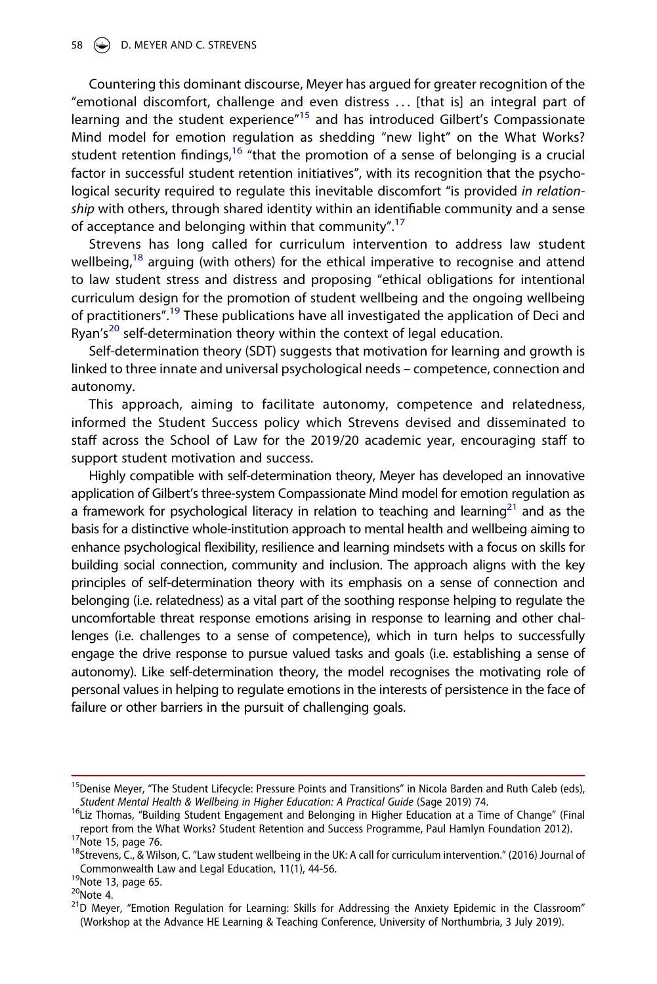#### 58 D. MEYER AND C. STREVENS

Countering this dominant discourse, Meyer has argued for greater recognition of the "emotional discomfort, challenge and even distress . . . [that is] an integral part of learning and the student experience"<sup>15</sup> and has introduced Gilbert's Compassionate Mind model for emotion regulation as shedding "new light" on the What Works? student retention findings, $16$  "that the promotion of a sense of belonging is a crucial factor in successful student retention initiatives", with its recognition that the psychological security required to regulate this inevitable discomfort "is provided *in relationship* with others, through shared identity within an identifiable community and a sense of acceptance and belonging within that community".<sup>[17](#page-5-2)</sup>

Strevens has long called for curriculum intervention to address law student wellbeing,<sup>18</sup> arguing (with others) for the ethical imperative to recognise and attend to law student stress and distress and proposing "ethical obligations for intentional curriculum design for the promotion of student wellbeing and the ongoing wellbeing of practitioners".[19](#page-5-4) These publications have all investigated the application of Deci and Ryan's<sup>20</sup> self-determination theory within the context of legal education.

Self-determination theory (SDT) suggests that motivation for learning and growth is linked to three innate and universal psychological needs – competence, connection and autonomy.

This approach, aiming to facilitate autonomy, competence and relatedness, informed the Student Success policy which Strevens devised and disseminated to staff across the School of Law for the 2019/20 academic year, encouraging staff to support student motivation and success.

Highly compatible with self-determination theory, Meyer has developed an innovative application of Gilbert's three-system Compassionate Mind model for emotion regulation as a framework for psychological literacy in relation to teaching and learning<sup>21</sup> and as the basis for a distinctive whole-institution approach to mental health and wellbeing aiming to enhance psychological flexibility, resilience and learning mindsets with a focus on skills for building social connection, community and inclusion. The approach aligns with the key principles of self-determination theory with its emphasis on a sense of connection and belonging (i.e. relatedness) as a vital part of the soothing response helping to regulate the uncomfortable threat response emotions arising in response to learning and other challenges (i.e. challenges to a sense of competence), which in turn helps to successfully engage the drive response to pursue valued tasks and goals (i.e. establishing a sense of autonomy). Like self-determination theory, the model recognises the motivating role of personal values in helping to regulate emotions in the interests of persistence in the face of failure or other barriers in the pursuit of challenging goals.

<span id="page-5-0"></span><sup>&</sup>lt;sup>15</sup>Denise Meyer, "The Student Lifecycle: Pressure Points and Transitions" in Nicola Barden and Ruth Caleb (eds),<br>Student Mental Health & Wellbeing in Higher Education: A Practical Guide (Sage 2019) 74.

<span id="page-5-1"></span><sup>&</sup>lt;sup>16</sup>Liz Thomas, "Building Student Engagement and Belonging in Higher Education at a Time of Change" (Final report from the What Works? Student Retention and Success Programme, Paul Hamlyn Foundation 2012).<br><sup>17</sup>Note 15, page 76.<br><sup>18</sup>Strevens, C., & Wilson, C. "Law student wellbeing in the UK: A call for curriculum intervention."

<span id="page-5-2"></span>

<span id="page-5-3"></span>Commonwealth Law and Legal Education, 11(1), 44-56. <sup>19</sup>Note 13, page 65. <sup>19</sup>Note 13, page 65. 20Note 4. 21D Meyer, "Emotion Regulation for Learning: Skills for Addressing the Anxiety Epidemic in the Classroom"

<span id="page-5-5"></span><span id="page-5-4"></span>

<span id="page-5-6"></span>

<sup>(</sup>Workshop at the Advance HE Learning & Teaching Conference, University of Northumbria, 3 July 2019).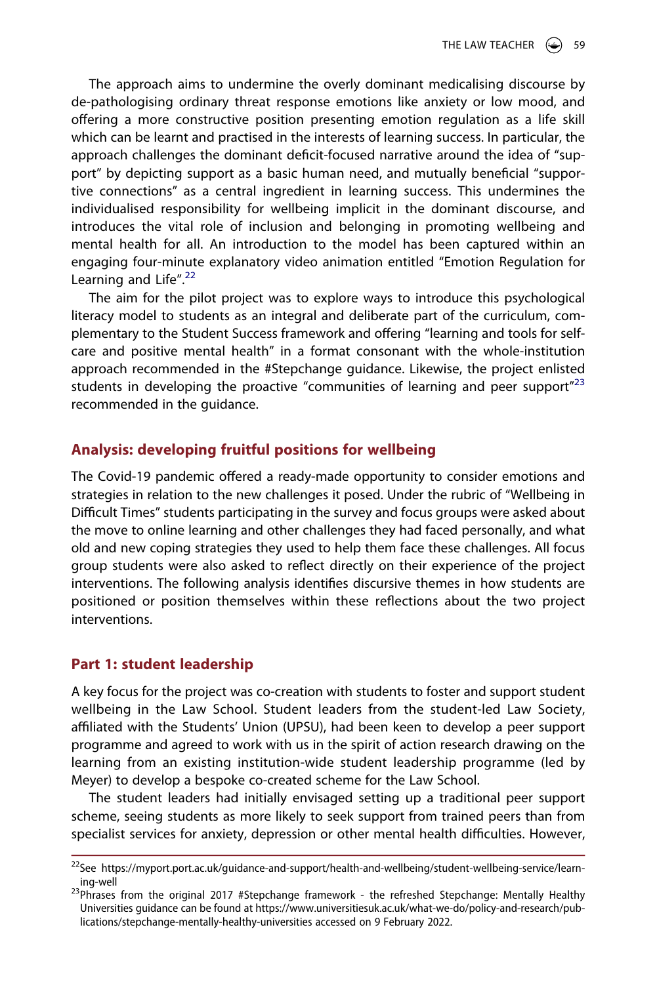The approach aims to undermine the overly dominant medicalising discourse by de-pathologising ordinary threat response emotions like anxiety or low mood, and offering a more constructive position presenting emotion regulation as a life skill which can be learnt and practised in the interests of learning success. In particular, the approach challenges the dominant deficit-focused narrative around the idea of "support" by depicting support as a basic human need, and mutually beneficial "supportive connections" as a central ingredient in learning success. This undermines the individualised responsibility for wellbeing implicit in the dominant discourse, and introduces the vital role of inclusion and belonging in promoting wellbeing and mental health for all. An introduction to the model has been captured within an engaging four-minute explanatory video animation entitled "Emotion Regulation for Learning and Life".<sup>[22](#page-6-0)</sup>

The aim for the pilot project was to explore ways to introduce this psychological literacy model to students as an integral and deliberate part of the curriculum, complementary to the Student Success framework and offering "learning and tools for selfcare and positive mental health" in a format consonant with the whole-institution approach recommended in the #Stepchange guidance. Likewise, the project enlisted students in developing the proactive "communities of learning and peer support $n^{23}$  $n^{23}$  $n^{23}$ recommended in the guidance.

# **Analysis: developing fruitful positions for wellbeing**

The Covid-19 pandemic offered a ready-made opportunity to consider emotions and strategies in relation to the new challenges it posed. Under the rubric of "Wellbeing in Difficult Times" students participating in the survey and focus groups were asked about the move to online learning and other challenges they had faced personally, and what old and new coping strategies they used to help them face these challenges. All focus group students were also asked to reflect directly on their experience of the project interventions. The following analysis identifies discursive themes in how students are positioned or position themselves within these reflections about the two project interventions.

# **Part 1: student leadership**

A key focus for the project was co-creation with students to foster and support student wellbeing in the Law School. Student leaders from the student-led Law Society, affiliated with the Students' Union (UPSU), had been keen to develop a peer support programme and agreed to work with us in the spirit of action research drawing on the learning from an existing institution-wide student leadership programme (led by Meyer) to develop a bespoke co-created scheme for the Law School.

The student leaders had initially envisaged setting up a traditional peer support scheme, seeing students as more likely to seek support from trained peers than from specialist services for anxiety, depression or other mental health difficulties. However,

<span id="page-6-0"></span><sup>&</sup>lt;sup>22</sup>See https://myport.port.ac.uk/guidance-and-support/health-and-wellbeing/student-wellbeing-service/learn-

<span id="page-6-1"></span>ing-well<br><sup>23</sup>Phrases from the original 2017 #Stepchange framework - the refreshed Stepchange: Mentally Healthy Universities guidance can be found at https://www.universitiesuk.ac.uk/what-we-do/policy-and-research/publications/stepchange-mentally-healthy-universities accessed on 9 February 2022.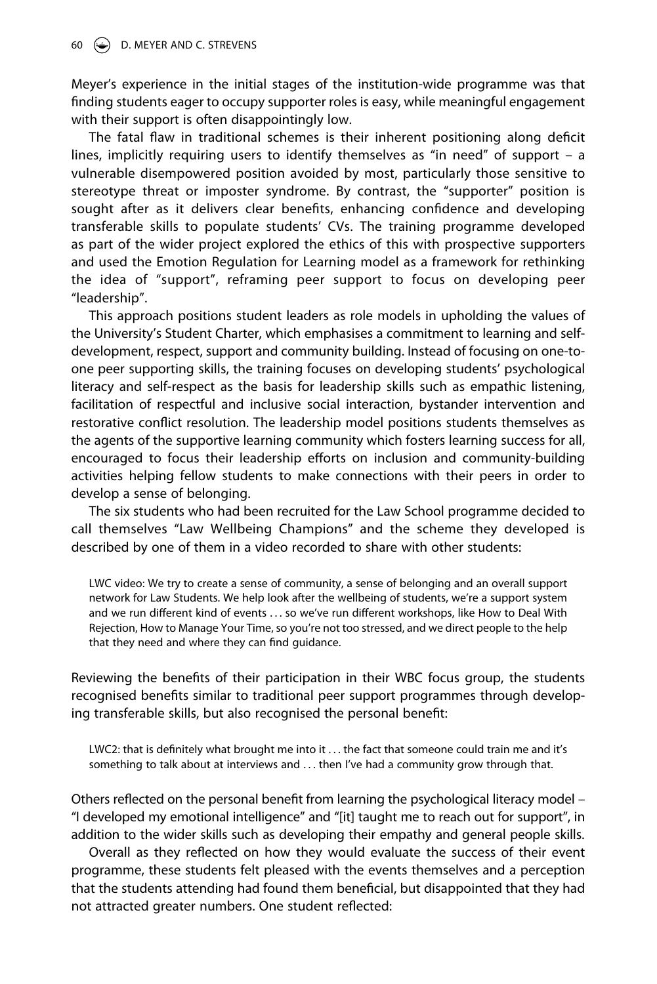Meyer's experience in the initial stages of the institution-wide programme was that finding students eager to occupy supporter roles is easy, while meaningful engagement with their support is often disappointingly low.

The fatal flaw in traditional schemes is their inherent positioning along deficit lines, implicitly requiring users to identify themselves as "in need" of support – a vulnerable disempowered position avoided by most, particularly those sensitive to stereotype threat or imposter syndrome. By contrast, the "supporter" position is sought after as it delivers clear benefits, enhancing confidence and developing transferable skills to populate students' CVs. The training programme developed as part of the wider project explored the ethics of this with prospective supporters and used the Emotion Regulation for Learning model as a framework for rethinking the idea of "support", reframing peer support to focus on developing peer "leadership".

This approach positions student leaders as role models in upholding the values of the University's Student Charter, which emphasises a commitment to learning and selfdevelopment, respect, support and community building. Instead of focusing on one-toone peer supporting skills, the training focuses on developing students' psychological literacy and self-respect as the basis for leadership skills such as empathic listening, facilitation of respectful and inclusive social interaction, bystander intervention and restorative conflict resolution. The leadership model positions students themselves as the agents of the supportive learning community which fosters learning success for all, encouraged to focus their leadership efforts on inclusion and community-building activities helping fellow students to make connections with their peers in order to develop a sense of belonging.

The six students who had been recruited for the Law School programme decided to call themselves "Law Wellbeing Champions" and the scheme they developed is described by one of them in a video recorded to share with other students:

LWC video: We try to create a sense of community, a sense of belonging and an overall support network for Law Students. We help look after the wellbeing of students, we're a support system and we run different kind of events . . . so we've run different workshops, like How to Deal With Rejection, How to Manage Your Time, so you're not too stressed, and we direct people to the help that they need and where they can find guidance.

Reviewing the benefits of their participation in their WBC focus group, the students recognised benefits similar to traditional peer support programmes through developing transferable skills, but also recognised the personal benefit:

LWC2: that is definitely what brought me into it . . . the fact that someone could train me and it's something to talk about at interviews and . . . then I've had a community grow through that.

Others reflected on the personal benefit from learning the psychological literacy model – "I developed my emotional intelligence" and "[it] taught me to reach out for support", in addition to the wider skills such as developing their empathy and general people skills.

Overall as they reflected on how they would evaluate the success of their event programme, these students felt pleased with the events themselves and a perception that the students attending had found them beneficial, but disappointed that they had not attracted greater numbers. One student reflected: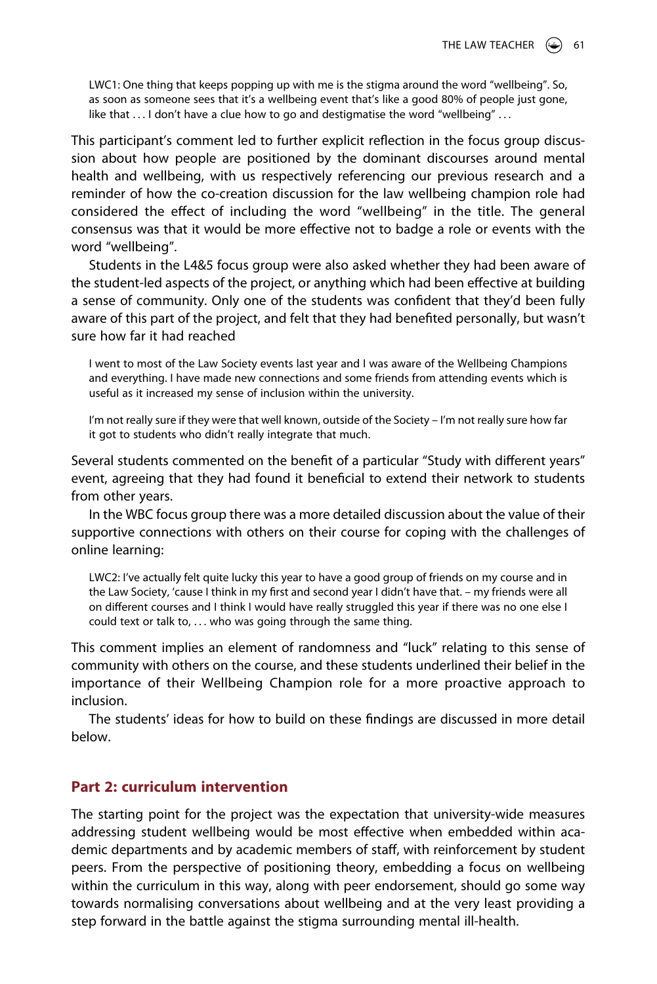LWC1: One thing that keeps popping up with me is the stigma around the word "wellbeing". So, as soon as someone sees that it's a wellbeing event that's like a good 80% of people just gone, like that . . . I don't have a clue how to go and destigmatise the word "wellbeing" . . .

This participant's comment led to further explicit reflection in the focus group discussion about how people are positioned by the dominant discourses around mental health and wellbeing, with us respectively referencing our previous research and a reminder of how the co-creation discussion for the law wellbeing champion role had considered the effect of including the word "wellbeing" in the title. The general consensus was that it would be more effective not to badge a role or events with the word "wellbeing".

Students in the L4&5 focus group were also asked whether they had been aware of the student-led aspects of the project, or anything which had been effective at building a sense of community. Only one of the students was confident that they'd been fully aware of this part of the project, and felt that they had benefited personally, but wasn't sure how far it had reached

I went to most of the Law Society events last year and I was aware of the Wellbeing Champions and everything. I have made new connections and some friends from attending events which is useful as it increased my sense of inclusion within the university.

I'm not really sure if they were that well known, outside of the Society – I'm not really sure how far it got to students who didn't really integrate that much.

Several students commented on the benefit of a particular "Study with different years" event, agreeing that they had found it beneficial to extend their network to students from other years.

In the WBC focus group there was a more detailed discussion about the value of their supportive connections with others on their course for coping with the challenges of online learning:

LWC2: I've actually felt quite lucky this year to have a good group of friends on my course and in the Law Society, 'cause I think in my first and second year I didn't have that. – my friends were all on different courses and I think I would have really struggled this year if there was no one else I could text or talk to, ... who was going through the same thing.

This comment implies an element of randomness and "luck" relating to this sense of community with others on the course, and these students underlined their belief in the importance of their Wellbeing Champion role for a more proactive approach to inclusion.

The students' ideas for how to build on these findings are discussed in more detail below.

# **Part 2: curriculum intervention**

The starting point for the project was the expectation that university-wide measures addressing student wellbeing would be most effective when embedded within academic departments and by academic members of staff, with reinforcement by student peers. From the perspective of positioning theory, embedding a focus on wellbeing within the curriculum in this way, along with peer endorsement, should go some way towards normalising conversations about wellbeing and at the very least providing a step forward in the battle against the stigma surrounding mental ill-health.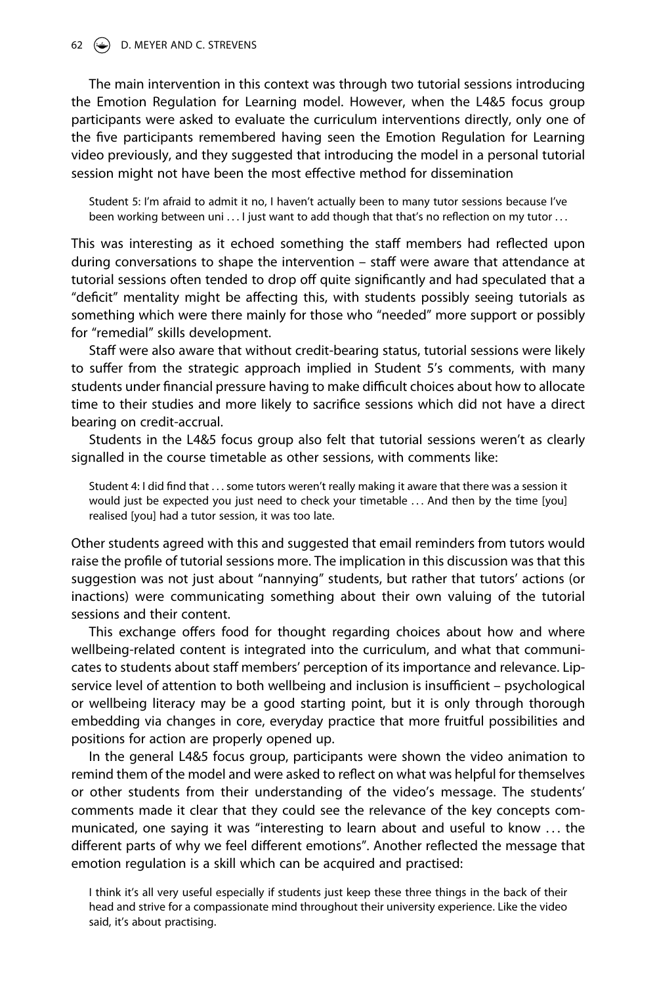#### 62 D. MEYER AND C. STREVENS

The main intervention in this context was through two tutorial sessions introducing the Emotion Regulation for Learning model. However, when the L4&5 focus group participants were asked to evaluate the curriculum interventions directly, only one of the five participants remembered having seen the Emotion Regulation for Learning video previously, and they suggested that introducing the model in a personal tutorial session might not have been the most effective method for dissemination

Student 5: I'm afraid to admit it no, I haven't actually been to many tutor sessions because I've been working between uni ... I just want to add though that that's no reflection on my tutor ...

This was interesting as it echoed something the staff members had reflected upon during conversations to shape the intervention – staff were aware that attendance at tutorial sessions often tended to drop off quite significantly and had speculated that a "deficit" mentality might be affecting this, with students possibly seeing tutorials as something which were there mainly for those who "needed" more support or possibly for "remedial" skills development.

Staff were also aware that without credit-bearing status, tutorial sessions were likely to suffer from the strategic approach implied in Student 5's comments, with many students under financial pressure having to make difficult choices about how to allocate time to their studies and more likely to sacrifice sessions which did not have a direct bearing on credit-accrual.

Students in the L4&5 focus group also felt that tutorial sessions weren't as clearly signalled in the course timetable as other sessions, with comments like:

Student 4: I did find that . . . some tutors weren't really making it aware that there was a session it would just be expected you just need to check your timetable . . . And then by the time [you] realised [you] had a tutor session, it was too late.

Other students agreed with this and suggested that email reminders from tutors would raise the profile of tutorial sessions more. The implication in this discussion was that this suggestion was not just about "nannying" students, but rather that tutors' actions (or inactions) were communicating something about their own valuing of the tutorial sessions and their content.

This exchange offers food for thought regarding choices about how and where wellbeing-related content is integrated into the curriculum, and what that communicates to students about staff members' perception of its importance and relevance. Lipservice level of attention to both wellbeing and inclusion is insufficient – psychological or wellbeing literacy may be a good starting point, but it is only through thorough embedding via changes in core, everyday practice that more fruitful possibilities and positions for action are properly opened up.

In the general L4&5 focus group, participants were shown the video animation to remind them of the model and were asked to reflect on what was helpful for themselves or other students from their understanding of the video's message. The students' comments made it clear that they could see the relevance of the key concepts communicated, one saying it was "interesting to learn about and useful to know . . . the different parts of why we feel different emotions". Another reflected the message that emotion regulation is a skill which can be acquired and practised:

I think it's all very useful especially if students just keep these three things in the back of their head and strive for a compassionate mind throughout their university experience. Like the video said, it's about practising.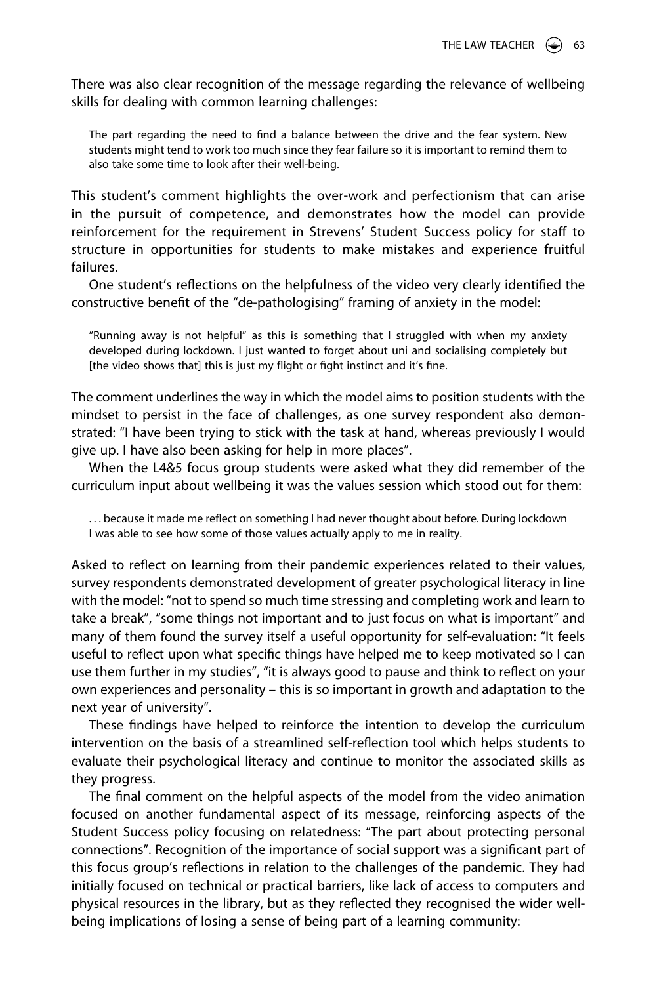There was also clear recognition of the message regarding the relevance of wellbeing skills for dealing with common learning challenges:

The part regarding the need to find a balance between the drive and the fear system. New students might tend to work too much since they fear failure so it is important to remind them to also take some time to look after their well-being.

This student's comment highlights the over-work and perfectionism that can arise in the pursuit of competence, and demonstrates how the model can provide reinforcement for the requirement in Strevens' Student Success policy for staff to structure in opportunities for students to make mistakes and experience fruitful failures.

One student's reflections on the helpfulness of the video very clearly identified the constructive benefit of the "de-pathologising" framing of anxiety in the model:

"Running away is not helpful" as this is something that I struggled with when my anxiety developed during lockdown. I just wanted to forget about uni and socialising completely but [the video shows that] this is just my flight or fight instinct and it's fine.

The comment underlines the way in which the model aims to position students with the mindset to persist in the face of challenges, as one survey respondent also demonstrated: "I have been trying to stick with the task at hand, whereas previously I would give up. I have also been asking for help in more places".

When the L4&5 focus group students were asked what they did remember of the curriculum input about wellbeing it was the values session which stood out for them:

. . . because it made me reflect on something I had never thought about before. During lockdown I was able to see how some of those values actually apply to me in reality.

Asked to reflect on learning from their pandemic experiences related to their values, survey respondents demonstrated development of greater psychological literacy in line with the model: "not to spend so much time stressing and completing work and learn to take a break", "some things not important and to just focus on what is important" and many of them found the survey itself a useful opportunity for self-evaluation: "It feels useful to reflect upon what specific things have helped me to keep motivated so I can use them further in my studies", "it is always good to pause and think to reflect on your own experiences and personality – this is so important in growth and adaptation to the next year of university".

These findings have helped to reinforce the intention to develop the curriculum intervention on the basis of a streamlined self-reflection tool which helps students to evaluate their psychological literacy and continue to monitor the associated skills as they progress.

The final comment on the helpful aspects of the model from the video animation focused on another fundamental aspect of its message, reinforcing aspects of the Student Success policy focusing on relatedness: "The part about protecting personal connections". Recognition of the importance of social support was a significant part of this focus group's reflections in relation to the challenges of the pandemic. They had initially focused on technical or practical barriers, like lack of access to computers and physical resources in the library, but as they reflected they recognised the wider wellbeing implications of losing a sense of being part of a learning community: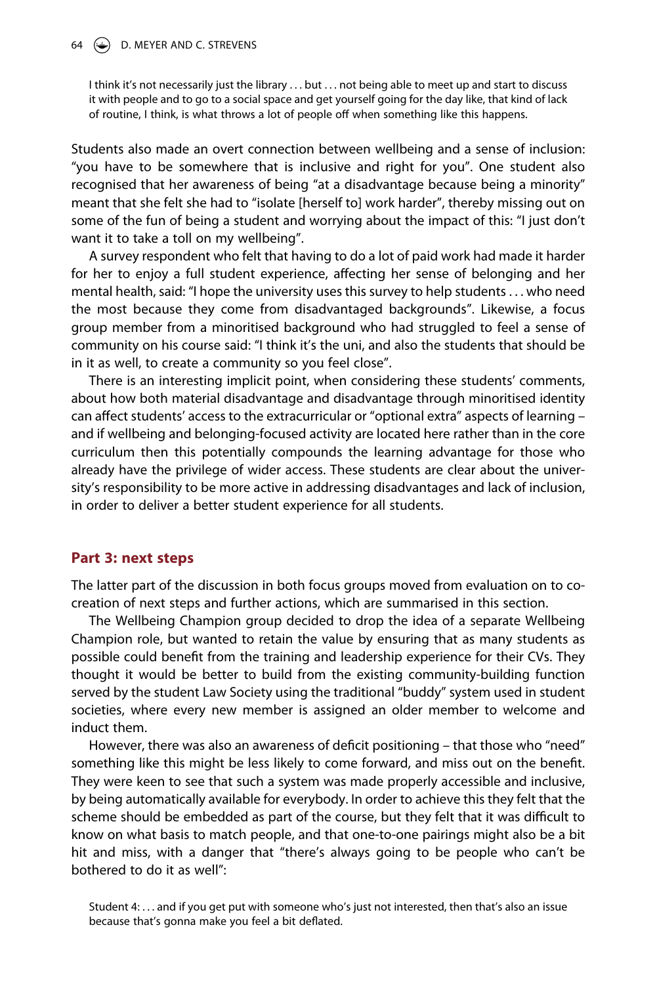#### 64 D. MEYER AND C. STREVENS

I think it's not necessarily just the library . . . but . . . not being able to meet up and start to discuss it with people and to go to a social space and get yourself going for the day like, that kind of lack of routine, I think, is what throws a lot of people off when something like this happens.

Students also made an overt connection between wellbeing and a sense of inclusion: "you have to be somewhere that is inclusive and right for you". One student also recognised that her awareness of being "at a disadvantage because being a minority" meant that she felt she had to "isolate [herself to] work harder", thereby missing out on some of the fun of being a student and worrying about the impact of this: "I just don't want it to take a toll on my wellbeing".

A survey respondent who felt that having to do a lot of paid work had made it harder for her to enjoy a full student experience, affecting her sense of belonging and her mental health, said: "I hope the university uses this survey to help students . . . who need the most because they come from disadvantaged backgrounds". Likewise, a focus group member from a minoritised background who had struggled to feel a sense of community on his course said: "I think it's the uni, and also the students that should be in it as well, to create a community so you feel close".

There is an interesting implicit point, when considering these students' comments, about how both material disadvantage and disadvantage through minoritised identity can affect students' access to the extracurricular or "optional extra" aspects of learning – and if wellbeing and belonging-focused activity are located here rather than in the core curriculum then this potentially compounds the learning advantage for those who already have the privilege of wider access. These students are clear about the university's responsibility to be more active in addressing disadvantages and lack of inclusion, in order to deliver a better student experience for all students.

#### **Part 3: next steps**

The latter part of the discussion in both focus groups moved from evaluation on to cocreation of next steps and further actions, which are summarised in this section.

The Wellbeing Champion group decided to drop the idea of a separate Wellbeing Champion role, but wanted to retain the value by ensuring that as many students as possible could benefit from the training and leadership experience for their CVs. They thought it would be better to build from the existing community-building function served by the student Law Society using the traditional "buddy" system used in student societies, where every new member is assigned an older member to welcome and induct them.

However, there was also an awareness of deficit positioning – that those who "need" something like this might be less likely to come forward, and miss out on the benefit. They were keen to see that such a system was made properly accessible and inclusive, by being automatically available for everybody. In order to achieve this they felt that the scheme should be embedded as part of the course, but they felt that it was difficult to know on what basis to match people, and that one-to-one pairings might also be a bit hit and miss, with a danger that "there's always going to be people who can't be bothered to do it as well":

Student 4: . . . and if you get put with someone who's just not interested, then that's also an issue because that's gonna make you feel a bit deflated.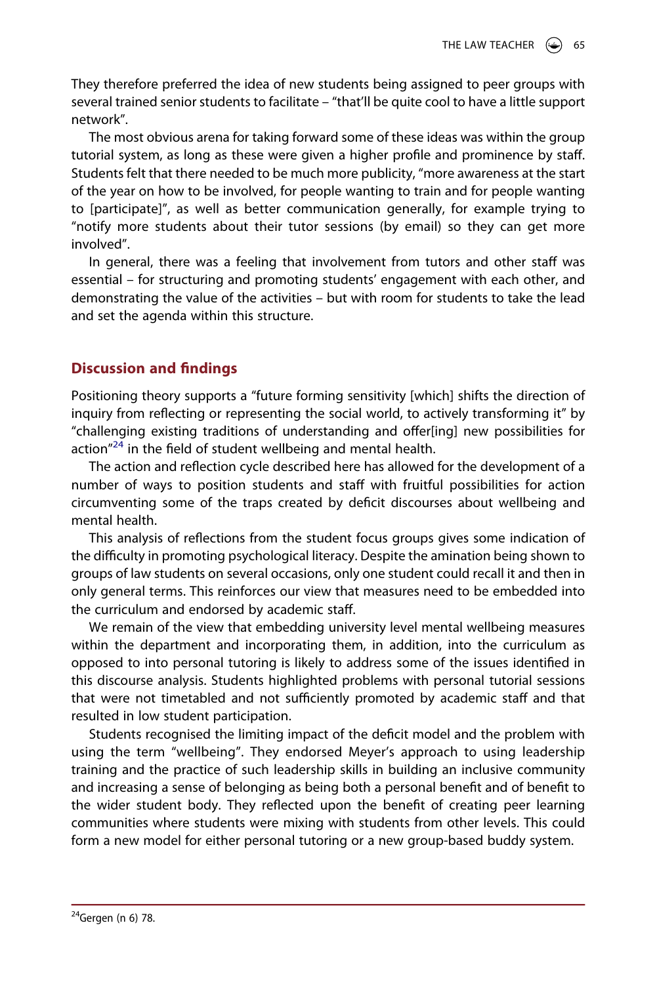They therefore preferred the idea of new students being assigned to peer groups with several trained senior students to facilitate – "that'll be quite cool to have a little support network".

The most obvious arena for taking forward some of these ideas was within the group tutorial system, as long as these were given a higher profile and prominence by staff. Students felt that there needed to be much more publicity, "more awareness at the start of the year on how to be involved, for people wanting to train and for people wanting to [participate]", as well as better communication generally, for example trying to "notify more students about their tutor sessions (by email) so they can get more involved".

In general, there was a feeling that involvement from tutors and other staff was essential – for structuring and promoting students' engagement with each other, and demonstrating the value of the activities – but with room for students to take the lead and set the agenda within this structure.

# **Discussion and findings**

Positioning theory supports a "future forming sensitivity [which] shifts the direction of inquiry from reflecting or representing the social world, to actively transforming it" by "challenging existing traditions of understanding and offer[ing] new possibilities for action $n^{24}$  in the field of student wellbeing and mental health.

The action and reflection cycle described here has allowed for the development of a number of ways to position students and staff with fruitful possibilities for action circumventing some of the traps created by deficit discourses about wellbeing and mental health.

This analysis of reflections from the student focus groups gives some indication of the difficulty in promoting psychological literacy. Despite the amination being shown to groups of law students on several occasions, only one student could recall it and then in only general terms. This reinforces our view that measures need to be embedded into the curriculum and endorsed by academic staff.

We remain of the view that embedding university level mental wellbeing measures within the department and incorporating them, in addition, into the curriculum as opposed to into personal tutoring is likely to address some of the issues identified in this discourse analysis. Students highlighted problems with personal tutorial sessions that were not timetabled and not sufficiently promoted by academic staff and that resulted in low student participation.

<span id="page-12-0"></span>Students recognised the limiting impact of the deficit model and the problem with using the term "wellbeing". They endorsed Meyer's approach to using leadership training and the practice of such leadership skills in building an inclusive community and increasing a sense of belonging as being both a personal benefit and of benefit to the wider student body. They reflected upon the benefit of creating peer learning communities where students were mixing with students from other levels. This could form a new model for either personal tutoring or a new group-based buddy system.